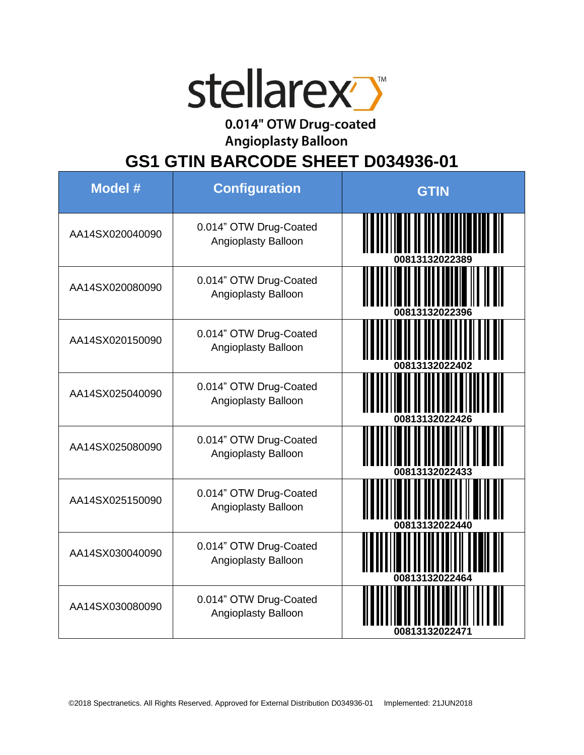

0.014" OTW Drug-coated

**Angioplasty Balloon** 

**GS1 GTIN BARCODE SHEET D034936-01**

| <b>Model #</b>  | <b>Configuration</b>                          | <b>GTIN</b>    |
|-----------------|-----------------------------------------------|----------------|
| AA14SX020040090 | 0.014" OTW Drug-Coated<br>Angioplasty Balloon |                |
| AA14SX020080090 | 0.014" OTW Drug-Coated<br>Angioplasty Balloon |                |
| AA14SX020150090 | 0.014" OTW Drug-Coated<br>Angioplasty Balloon | 00813132022402 |
| AA14SX025040090 | 0.014" OTW Drug-Coated<br>Angioplasty Balloon |                |
| AA14SX025080090 | 0.014" OTW Drug-Coated<br>Angioplasty Balloon |                |
| AA14SX025150090 | 0.014" OTW Drug-Coated<br>Angioplasty Balloon |                |
| AA14SX030040090 | 0.014" OTW Drug-Coated<br>Angioplasty Balloon |                |
| AA14SX030080090 | 0.014" OTW Drug-Coated<br>Angioplasty Balloon | 00813132022471 |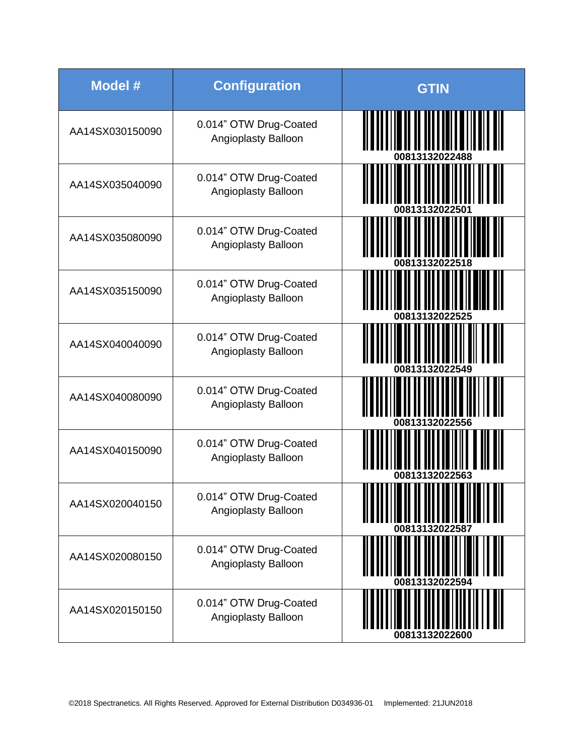| Model #         | <b>Configuration</b>                                 | <b>GTIN</b>                                                   |
|-----------------|------------------------------------------------------|---------------------------------------------------------------|
| AA14SX030150090 | 0.014" OTW Drug-Coated<br>Angioplasty Balloon        | II I I II II III III III II D                                 |
| AA14SX035040090 | 0.014" OTW Drug-Coated<br><b>Angioplasty Balloon</b> | 00813132022501                                                |
| AA14SX035080090 | 0.014" OTW Drug-Coated<br>Angioplasty Balloon        |                                                               |
| AA14SX035150090 | 0.014" OTW Drug-Coated<br>Angioplasty Balloon        |                                                               |
| AA14SX040040090 | 0.014" OTW Drug-Coated<br><b>Angioplasty Balloon</b> | 00813132022549                                                |
| AA14SX040080090 | 0.014" OTW Drug-Coated<br><b>Angioplasty Balloon</b> | 00813132022556                                                |
| AA14SX040150090 | 0.014" OTW Drug-Coated<br>Angioplasty Balloon        |                                                               |
| AA14SX020040150 | 0.014" OTW Drug-Coated<br>Angioplasty Balloon        | <b>ATTE      </b>   <br><b>IN HEIL</b><br>Ш<br>00813132022587 |
| AA14SX020080150 | 0.014" OTW Drug-Coated<br>Angioplasty Balloon        | 00813132022594                                                |
| AA14SX020150150 | 0.014" OTW Drug-Coated<br>Angioplasty Balloon        | 00813132022600                                                |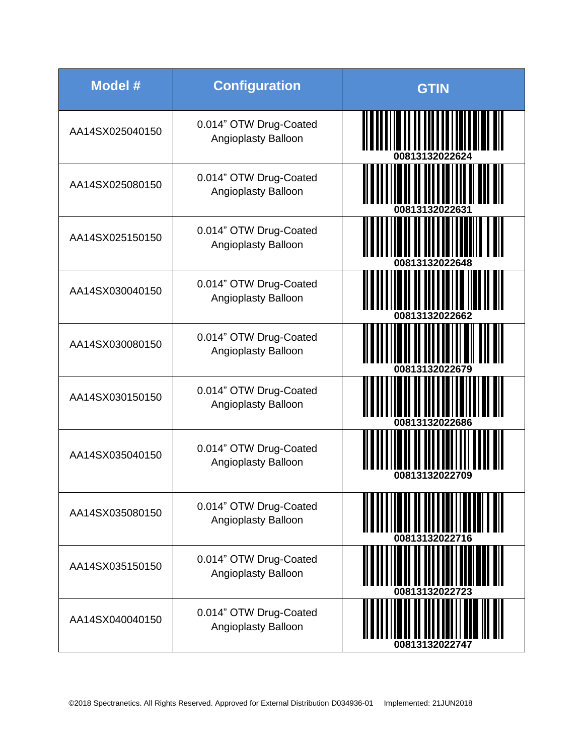| <b>Model #</b>  | <b>Configuration</b>                                 | <b>GTIN</b>                                                                                                                             |
|-----------------|------------------------------------------------------|-----------------------------------------------------------------------------------------------------------------------------------------|
| AA14SX025040150 | 0.014" OTW Drug-Coated<br>Angioplasty Balloon        | O O OLI I IO II II III IUII                                                                                                             |
| AA14SX025080150 | 0.014" OTW Drug-Coated<br>Angioplasty Balloon        | 00813132022631                                                                                                                          |
| AA14SX025150150 | 0.014" OTW Drug-Coated<br>Angioplasty Balloon        | 00813132022648                                                                                                                          |
| AA14SX030040150 | 0.014" OTW Drug-Coated<br>Angioplasty Balloon        |                                                                                                                                         |
| AA14SX030080150 | 0.014" OTW Drug-Coated<br><b>Angioplasty Balloon</b> | 00813132022679                                                                                                                          |
| AA14SX030150150 | 0.014" OTW Drug-Coated<br><b>Angioplasty Balloon</b> | 00813132022686                                                                                                                          |
| AA14SX035040150 | 0.014" OTW Drug-Coated<br><b>Angioplasty Balloon</b> | 00813132022709                                                                                                                          |
| AA14SX035080150 | 0.014" OTW Drug-Coated<br>Angioplasty Balloon        | <u> 1989 - An Dùbhlach an Dùbhlach an Dùbhlach an Dùbhlach an Dùbhlach an Dùbhlach an Dùbhlach an Dùbhlach an Dùb</u><br>00813132022716 |
| AA14SX035150150 | 0.014" OTW Drug-Coated<br>Angioplasty Balloon        |                                                                                                                                         |
| AA14SX040040150 | 0.014" OTW Drug-Coated<br>Angioplasty Balloon        | 00813132022747                                                                                                                          |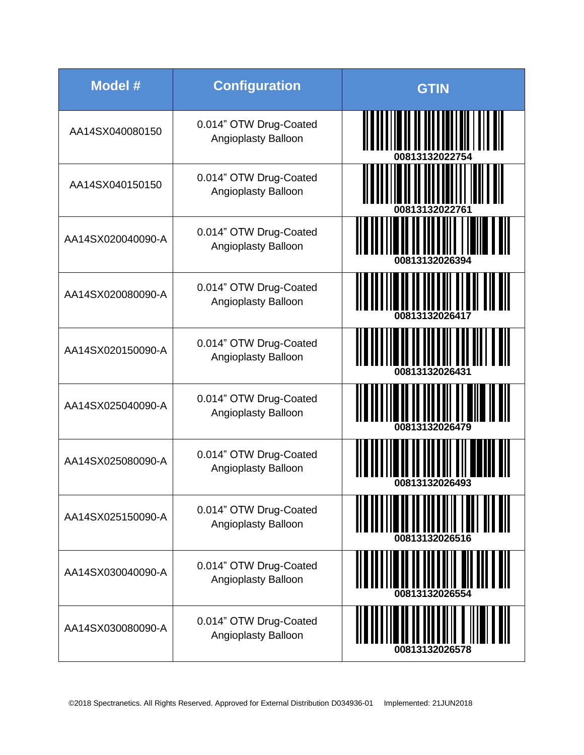| <b>Model #</b>    | <b>Configuration</b>                          | <b>GTIN</b>                                                         |
|-------------------|-----------------------------------------------|---------------------------------------------------------------------|
| AA14SX040080150   | 0.014" OTW Drug-Coated<br>Angioplasty Balloon | ATATTI II II III III III III   III                                  |
| AA14SX040150150   | 0.014" OTW Drug-Coated<br>Angioplasty Balloon | 00813132022761                                                      |
| AA14SX020040090-A | 0.014" OTW Drug-Coated<br>Angioplasty Balloon | <b>din in Tiona</b> lli I i <mark>dina a</mark> l<br>00813132026394 |
| AA14SX020080090-A | 0.014" OTW Drug-Coated<br>Angioplasty Balloon | <u>MANIJIR ILI ABITI ITALI IT</u>                                   |
| AA14SX020150090-A | 0.014" OTW Drug-Coated<br>Angioplasty Balloon | 00813132026431                                                      |
| AA14SX025040090-A | 0.014" OTW Drug-Coated<br>Angioplasty Balloon | <b>THE HITHER</b>                                                   |
| AA14SX025080090-A | 0.014" OTW Drug-Coated<br>Angioplasty Balloon |                                                                     |
| AA14SX025150090-A | 0.014" OTW Drug-Coated<br>Angioplasty Balloon |                                                                     |
| AA14SX030040090-A | 0.014" OTW Drug-Coated<br>Angioplasty Balloon |                                                                     |
| AA14SX030080090-A | 0.014" OTW Drug-Coated<br>Angioplasty Balloon | 00813132026578                                                      |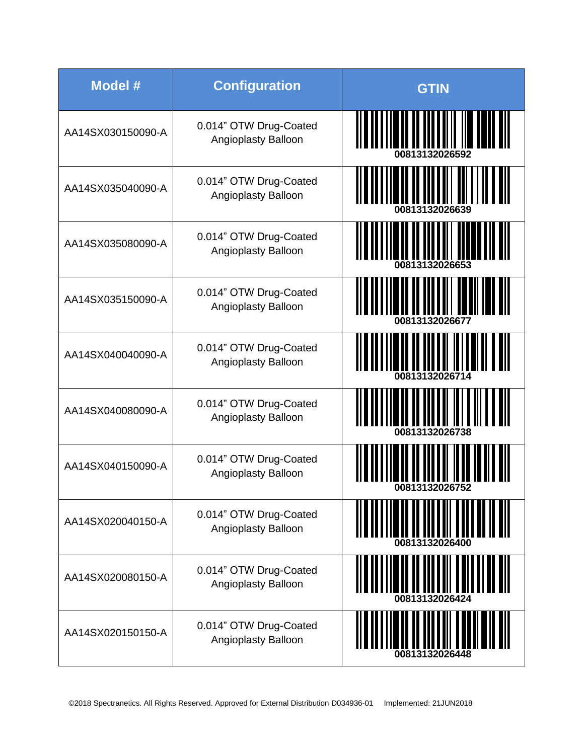| <b>Model #</b>    | <b>Configuration</b>                                 | <b>GTIN</b>                                  |
|-------------------|------------------------------------------------------|----------------------------------------------|
| AA14SX030150090-A | 0.014" OTW Drug-Coated<br>Angioplasty Balloon        | <u> ANTISTITIN MITTIN AN ANTISE</u>          |
| AA14SX035040090-A | 0.014" OTW Drug-Coated<br>Angioplasty Balloon        | 00813132026639                               |
| AA14SX035080090-A | 0.014" OTW Drug-Coated<br>Angioplasty Balloon        | 00813132026653                               |
| AA14SX035150090-A | 0.014" OTW Drug-Coated<br>Angioplasty Balloon        | <b>TITIO ATTIILI TEATII</b><br>1081313202667 |
| AA14SX040040090-A | 0.014" OTW Drug-Coated<br>Angioplasty Balloon        | <u>HIILIN ILIITII ILIITII I</u>              |
| AA14SX040080090-A | 0.014" OTW Drug-Coated<br>Angioplasty Balloon        | 00813132026738                               |
| AA14SX040150090-A | 0.014" OTW Drug-Coated<br><b>Angioplasty Balloon</b> | 00813132026752                               |
| AA14SX020040150-A | 0.014" OTW Drug-Coated<br>Angioplasty Balloon        |                                              |
| AA14SX020080150-A | 0.014" OTW Drug-Coated<br>Angioplasty Balloon        | 00813132026424                               |
| AA14SX020150150-A | 0.014" OTW Drug-Coated<br>Angioplasty Balloon        | 00813132                                     |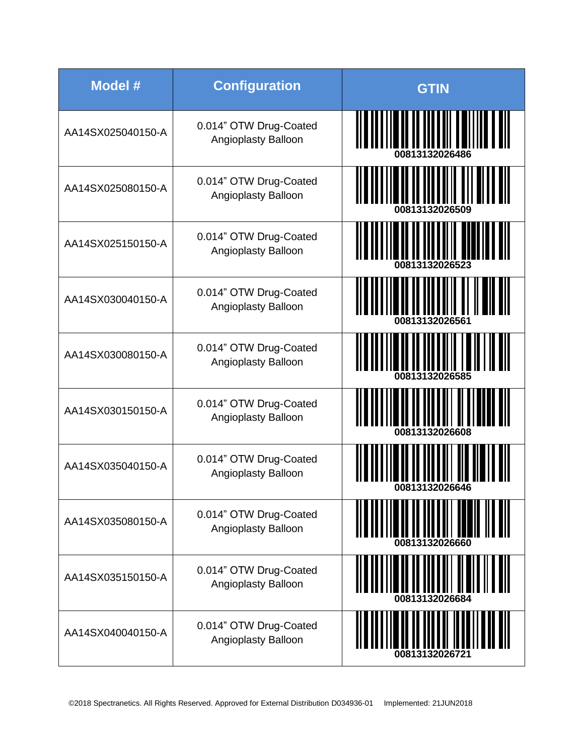| <b>Model #</b>    | <b>Configuration</b>                          | <b>GTIN</b>                             |
|-------------------|-----------------------------------------------|-----------------------------------------|
| AA14SX025040150-A | 0.014" OTW Drug-Coated<br>Angioplasty Balloon | ALAMANIA IN OLI OLI LUI LUOLI LUOLI     |
| AA14SX025080150-A | 0.014" OTW Drug-Coated<br>Angioplasty Balloon |                                         |
| AA14SX025150150-A | 0.014" OTW Drug-Coated<br>Angioplasty Balloon | 00813132026523                          |
| AA14SX030040150-A | 0.014" OTW Drug-Coated<br>Angioplasty Balloon |                                         |
| AA14SX030080150-A | 0.014" OTW Drug-Coated<br>Angioplasty Balloon | <u> III III III III III III III III</u> |
| AA14SX030150150-A | 0.014" OTW Drug-Coated<br>Angioplasty Balloon | <br>00813132026608                      |
| AA14SX035040150-A | 0.014" OTW Drug-Coated<br>Angioplasty Balloon | 00813132026646                          |
| AA14SX035080150-A | 0.014" OTW Drug-Coated<br>Angioplasty Balloon |                                         |
| AA14SX035150150-A | 0.014" OTW Drug-Coated<br>Angioplasty Balloon | 00813132026684                          |
| AA14SX040040150-A | 0.014" OTW Drug-Coated<br>Angioplasty Balloon |                                         |